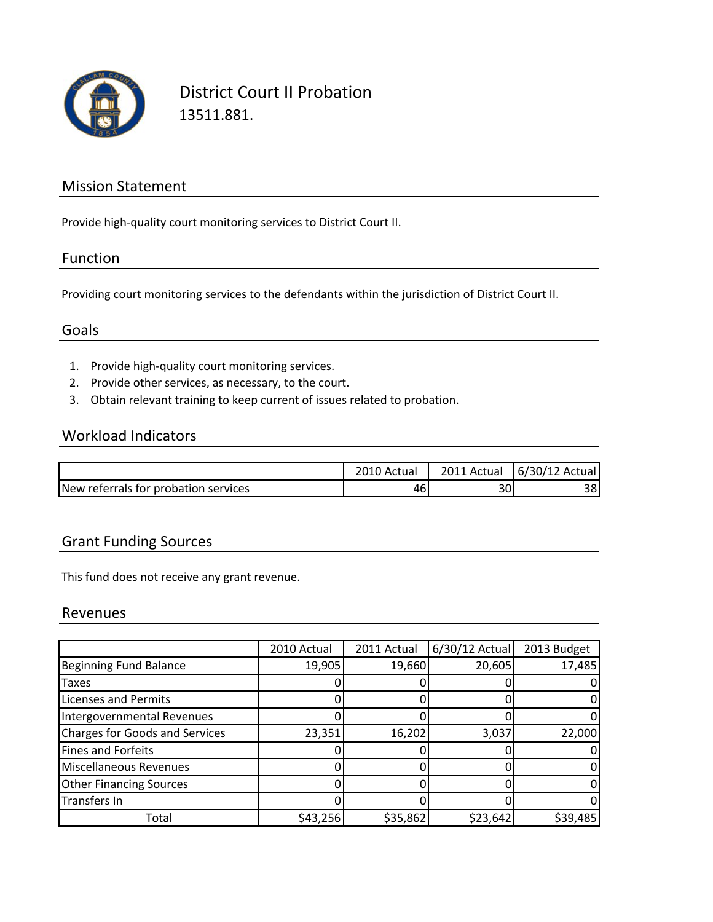

District Court II Probation 13511.881.

## Mission Statement

Provide high‐quality court monitoring services to District Court II.

## Function

Providing court monitoring services to the defendants within the jurisdiction of District Court II.

### Goals

- 1. Provide high‐quality court monitoring services.
- 2. Provide other services, as necessary, to the court.
- 3. Obtain relevant training to keep current of issues related to probation.

## Workload Indicators

|                                      | 2010 Actual | 2011 Actual | 6/30/12 Actual |
|--------------------------------------|-------------|-------------|----------------|
| New referrals for probation services | 46.         | 30          | 38             |

## Grant Funding Sources

This fund does not receive any grant revenue.

### Revenues

|                                       | 2010 Actual | 2011 Actual | 6/30/12 Actual | 2013 Budget |
|---------------------------------------|-------------|-------------|----------------|-------------|
| <b>Beginning Fund Balance</b>         | 19,905      | 19,660      | 20,605         | 17,485      |
| Taxes                                 |             |             |                |             |
| <b>Licenses and Permits</b>           |             |             |                |             |
| Intergovernmental Revenues            |             |             |                |             |
| <b>Charges for Goods and Services</b> | 23,351      | 16,202      | 3,037          | 22,000      |
| <b>Fines and Forfeits</b>             |             |             |                |             |
| <b>Miscellaneous Revenues</b>         |             |             |                |             |
| <b>Other Financing Sources</b>        |             |             |                |             |
| Transfers In                          |             |             |                |             |
| Total                                 | \$43,256    | \$35,862    | \$23,642       | \$39,485    |